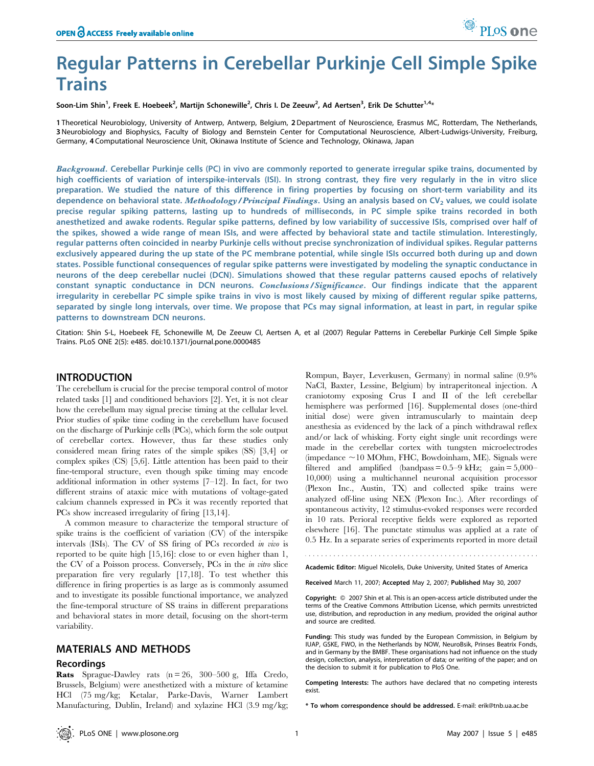Soon-Lim Shin<sup>1</sup>, Freek E. Hoebeek<sup>2</sup>, Martijn Schonewille<sup>2</sup>, Chris I. De Zeeuw<sup>2</sup>, Ad Aertsen<sup>3</sup>, Erik De Schutter<sup>1,4</sup>\*

1 Theoretical Neurobiology, University of Antwerp, Antwerp, Belgium, 2Department of Neuroscience, Erasmus MC, Rotterdam, The Netherlands, 3 Neurobiology and Biophysics, Faculty of Biology and Bernstein Center for Computational Neuroscience, Albert-Ludwigs-University, Freiburg, Germany, 4 Computational Neuroscience Unit, Okinawa Institute of Science and Technology, Okinawa, Japan

Background. Cerebellar Purkinje cells (PC) in vivo are commonly reported to generate irregular spike trains, documented by high coefficients of variation of interspike-intervals (ISI). In strong contrast, they fire very regularly in the in vitro slice preparation. We studied the nature of this difference in firing properties by focusing on short-term variability and its dependence on behavioral state. Methodology/Principal Findings. Using an analysis based on  $CV_2$  values, we could isolate precise regular spiking patterns, lasting up to hundreds of milliseconds, in PC simple spike trains recorded in both anesthetized and awake rodents. Regular spike patterns, defined by low variability of successive ISIs, comprised over half of the spikes, showed a wide range of mean ISIs, and were affected by behavioral state and tactile stimulation. Interestingly, regular patterns often coincided in nearby Purkinje cells without precise synchronization of individual spikes. Regular patterns exclusively appeared during the up state of the PC membrane potential, while single ISIs occurred both during up and down states. Possible functional consequences of regular spike patterns were investigated by modeling the synaptic conductance in neurons of the deep cerebellar nuclei (DCN). Simulations showed that these regular patterns caused epochs of relatively constant synaptic conductance in DCN neurons. Conclusions/Significance. Our findings indicate that the apparent irregularity in cerebellar PC simple spike trains in vivo is most likely caused by mixing of different regular spike patterns, separated by single long intervals, over time. We propose that PCs may signal information, at least in part, in regular spike patterns to downstream DCN neurons.

Citation: Shin S-L, Hoebeek FE, Schonewille M, De Zeeuw CI, Aertsen A, et al (2007) Regular Patterns in Cerebellar Purkinje Cell Simple Spike Trains. PLoS ONE 2(5): e485. doi:10.1371/journal.pone.0000485

## INTRODUCTION

The cerebellum is crucial for the precise temporal control of motor related tasks [1] and conditioned behaviors [2]. Yet, it is not clear how the cerebellum may signal precise timing at the cellular level. Prior studies of spike time coding in the cerebellum have focused on the discharge of Purkinje cells (PCs), which form the sole output of cerebellar cortex. However, thus far these studies only considered mean firing rates of the simple spikes (SS) [3,4] or complex spikes (CS) [5,6]. Little attention has been paid to their fine-temporal structure, even though spike timing may encode additional information in other systems  $[7-12]$ . In fact, for two different strains of ataxic mice with mutations of voltage-gated calcium channels expressed in PCs it was recently reported that PCs show increased irregularity of firing [13,14].

A common measure to characterize the temporal structure of spike trains is the coefficient of variation (CV) of the interspike intervals (ISIs). The CV of SS firing of PCs recorded in vivo is reported to be quite high [15,16]: close to or even higher than 1, the CV of a Poisson process. Conversely, PCs in the in vitro slice preparation fire very regularly [17,18]. To test whether this difference in firing properties is as large as is commonly assumed and to investigate its possible functional importance, we analyzed the fine-temporal structure of SS trains in different preparations and behavioral states in more detail, focusing on the short-term variability.

# MATERIALS AND METHODS

### **Recordings**

Rats Sprague-Dawley rats (n = 26, 300–500 g, Iffa Credo, Brussels, Belgium) were anesthetized with a mixture of ketamine HCl (75 mg/kg; Ketalar, Parke-Davis, Warner Lambert Manufacturing, Dublin, Ireland) and xylazine HCl (3.9 mg/kg; Rompun, Bayer, Leverkusen, Germany) in normal saline (0.9% NaCl, Baxter, Lessine, Belgium) by intraperitoneal injection. A craniotomy exposing Crus I and II of the left cerebellar hemisphere was performed [16]. Supplemental doses (one-third initial dose) were given intramuscularly to maintain deep anesthesia as evidenced by the lack of a pinch withdrawal reflex and/or lack of whisking. Forty eight single unit recordings were made in the cerebellar cortex with tungsten microelectrodes  $\langle$ impedance  $\sim$ 10 MOhm, FHC, Bowdoinham, ME). Signals were filtered and amplified (bandpass  $= 0.5-9$  kHz; gain  $= 5,000-$ 10,000) using a multichannel neuronal acquisition processor (Plexon Inc., Austin, TX) and collected spike trains were analyzed off-line using NEX (Plexon Inc.). After recordings of spontaneous activity, 12 stimulus-evoked responses were recorded in 10 rats. Perioral receptive fields were explored as reported elsewhere [16]. The punctate stimulus was applied at a rate of 0.5 Hz. In a separate series of experiments reported in more detail

Academic Editor: Miguel Nicolelis, Duke University, United States of America

Received March 11, 2007; Accepted May 2, 2007; Published May 30, 2007

Copyright: 2007 Shin et al. This is an open-access article distributed under the terms of the Creative Commons Attribution License, which permits unrestricted use, distribution, and reproduction in any medium, provided the original author and source are credited.

Funding: This study was funded by the European Commission, in Belgium by IUAP, GSKE, FWO, in the Netherlands by NOW, NeuroBsik, Prinses Beatrix Fonds, and in Germany by the BMBF. These organisations had not influence on the study design, collection, analysis, interpretation of data; or writing of the paper; and on the decision to submit it for publication to PloS One.

Competing Interests: The authors have declared that no competing interests exist.

\* To whom correspondence should be addressed. E-mail: erik@tnb.ua.ac.be

PLoS one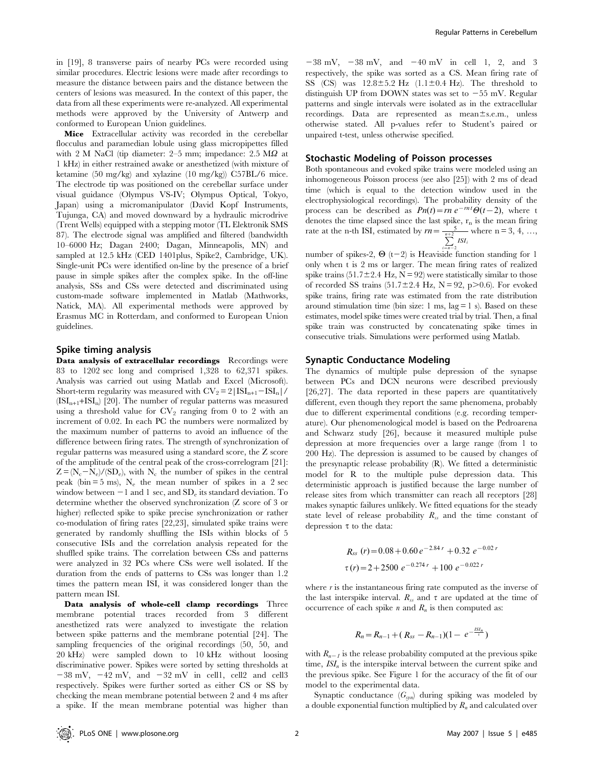in [19], 8 transverse pairs of nearby PCs were recorded using similar procedures. Electric lesions were made after recordings to measure the distance between pairs and the distance between the centers of lesions was measured. In the context of this paper, the data from all these experiments were re-analyzed. All experimental methods were approved by the University of Antwerp and conformed to European Union guidelines.

Mice Extracellular activity was recorded in the cerebellar flocculus and paramedian lobule using glass micropipettes filled with 2 M NaCl (tip diameter:  $2-5$  mm; impedance:  $2.5$  M $\Omega$  at 1 kHz) in either restrained awake or anesthetized (with mixture of ketamine (50 mg/kg) and xylazine (10 mg/kg)) C57BL/6 mice. The electrode tip was positioned on the cerebellar surface under visual guidance (Olympus VS-IV; Olympus Optical, Tokyo, Japan) using a micromanipulator (David Kopf Instruments, Tujunga, CA) and moved downward by a hydraulic microdrive (Trent Wells) equipped with a stepping motor (TL Elektronik SMS 87). The electrode signal was amplified and filtered (bandwidth 10–6000 Hz; Dagan 2400; Dagan, Minneapolis, MN) and sampled at 12.5 kHz (CED 1401plus, Spike2, Cambridge, UK). Single-unit PCs were identified on-line by the presence of a brief pause in simple spikes after the complex spike. In the off-line analysis, SSs and CSs were detected and discriminated using custom-made software implemented in Matlab (Mathworks, Natick, MA). All experimental methods were approved by Erasmus MC in Rotterdam, and conformed to European Union guidelines.

### Spike timing analysis

Data analysis of extracellular recordings Recordings were 83 to 1202 sec long and comprised 1,328 to 62,371 spikes. Analysis was carried out using Matlab and Excel (Microsoft). Short-term regularity was measured with  $CV_2 = 2|ISI_{n+1}-ISI_n|$ /  $(ISI_{n+1}+ISI_n)$  [20]. The number of regular patterns was measured using a threshold value for  $CV_2$  ranging from 0 to 2 with an increment of 0.02. In each PC the numbers were normalized by the maximum number of patterns to avoid an influence of the difference between firing rates. The strength of synchronization of regular patterns was measured using a standard score, the Z score of the amplitude of the central peak of the cross-correlogram [21]:  $Z = (N_c - N_e)/(SD_e)$ , with N<sub>c</sub> the number of spikes in the central peak (bin  $=$  5 ms), N<sub>e</sub> the mean number of spikes in a 2 sec window between  $-1$  and 1 sec, and SD<sub>e</sub> its standard deviation. To determine whether the observed synchronization (Z score of 3 or higher) reflected spike to spike precise synchronization or rather co-modulation of firing rates [22,23], simulated spike trains were generated by randomly shuffling the ISIs within blocks of 5 consecutive ISIs and the correlation analysis repeated for the shuffled spike trains. The correlation between CSs and patterns were analyzed in 32 PCs where CSs were well isolated. If the duration from the ends of patterns to CSs was longer than 1.2 times the pattern mean ISI, it was considered longer than the pattern mean ISI.

Data analysis of whole-cell clamp recordings Three membrane potential traces recorded from 3 different anesthetized rats were analyzed to investigate the relation between spike patterns and the membrane potential [24]. The sampling frequencies of the original recordings (50, 50, and 20 kHz) were sampled down to 10 kHz without loosing discriminative power. Spikes were sorted by setting thresholds at  $-38$  mV,  $-42$  mV, and  $-32$  mV in cell1, cell2 and cell3 respectively. Spikes were further sorted as either CS or SS by checking the mean membrane potential between 2 and 4 ms after a spike. If the mean membrane potential was higher than

 $-38$  mV,  $-38$  mV, and  $-40$  mV in cell 1, 2, and 3 respectively, the spike was sorted as a CS. Mean firing rate of SS (CS) was  $12.8 \pm 5.2$  Hz (1.1 $\pm$ 0.4 Hz). The threshold to distinguish UP from DOWN states was set to  $-55$  mV. Regular patterns and single intervals were isolated as in the extracellular recordings. Data are represented as mean $\pm$ s.e.m., unless otherwise stated. All p-values refer to Student's paired or unpaired t-test, unless otherwise specified.

### Stochastic Modeling of Poisson processes

Both spontaneous and evoked spike trains were modeled using an inhomogeneous Poisson process (see also [25]) with 2 ms of dead time (which is equal to the detection window used in the electrophysiological recordings). The probability density of the process can be described as  $Pn(t)=rn e^{-rn t}\Theta(t-2)$ , where t denotes the time elapsed since the last spike,  $r_n$  is the mean firing rate at the n-th ISI, estimated by  $rn = \frac{5}{\frac{n+2}{2}}$  $\sum_{i=n-2}$  ISI where  $n = 3, 4, ...,$ 

number of spikes-2,  $\Theta$  (t-2) is Heaviside function standing for 1 only when t is 2 ms or larger. The mean firing rates of realized spike trains (51.7 $\pm$ 2.4 Hz, N = 92) were statistically similar to those of recorded SS trains  $(51.7 \pm 2.4 \text{ Hz}, \text{ N} = 92, \text{ p} > 0.6)$ . For evoked spike trains, firing rate was estimated from the rate distribution around stimulation time (bin size:  $1 \text{ ms}$ , lag  $= 1 \text{ s}$ ). Based on these estimates, model spike times were created trial by trial. Then, a final spike train was constructed by concatenating spike times in consecutive trials. Simulations were performed using Matlab.

### Synaptic Conductance Modeling

The dynamics of multiple pulse depression of the synapse between PCs and DCN neurons were described previously [26,27]. The data reported in these papers are quantitatively different, even though they report the same phenomena, probably due to different experimental conditions (e.g. recording temperature). Our phenomenological model is based on the Pedroarena and Schwarz study [26], because it measured multiple pulse depression at more frequencies over a large range (from 1 to 200 Hz). The depression is assumed to be caused by changes of the presynaptic release probability (R). We fitted a deterministic model for R to the multiple pulse depression data. This deterministic approach is justified because the large number of release sites from which transmitter can reach all receptors [28] makes synaptic failures unlikely. We fitted equations for the steady state level of release probability  $R_{ss}$  and the time constant of depression  $\tau$  to the data:

$$
R_{ss}(r) = 0.08 + 0.60 e^{-2.84 r} + 0.32 e^{-0.02 r}
$$
  

$$
\tau(r) = 2 + 2500 e^{-0.274 r} + 100 e^{-0.022 r}
$$

where  $r$  is the instantaneous firing rate computed as the inverse of the last interspike interval.  $R_{ss}$  and  $\tau$  are updated at the time of occurrence of each spike *n* and  $R_n$  is then computed as:

$$
R_n = R_{n-1} + (R_{ss} - R_{n-1})(1 - e^{-\frac{ISI_n}{\tau}})
$$

with  $R_{n-1}$  is the release probability computed at the previous spike time,  $ISI_n$  is the interspike interval between the current spike and the previous spike. See Figure 1 for the accuracy of the fit of our model to the experimental data.

Synaptic conductance  $(G_{syn})$  during spiking was modeled by a double exponential function multiplied by  $R_n$  and calculated over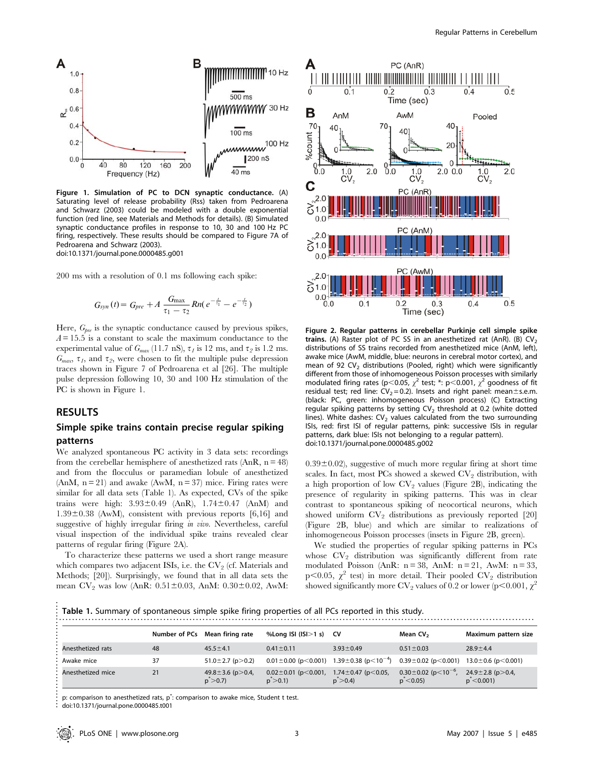

Figure 1. Simulation of PC to DCN synaptic conductance. (A) Saturating level of release probability (Rss) taken from Pedroarena and Schwarz (2003) could be modeled with a double exponential function (red line, see Materials and Methods for details). (B) Simulated synaptic conductance profiles in response to 10, 30 and 100 Hz PC firing, respectively. These results should be compared to Figure 7A of Pedroarena and Schwarz (2003). doi:10.1371/journal.pone.0000485.g001

200 ms with a resolution of 0.1 ms following each spike:

$$
G_{syn}(t) = G_{pre} + A \frac{G_{\max}}{\tau_1 - \tau_2} R n (e^{-\frac{t}{\tau_1}} - e^{-\frac{t}{\tau_2}})
$$

Here,  $G_{pre}$  is the synaptic conductance caused by previous spikes,  $A = 15.5$  is a constant to scale the maximum conductance to the experimental value of  $G_{max}$  (11.7 nS),  $\tau_I$  is 12 ms, and  $\tau_2$  is 1.2 ms.  $G_{max}$ ,  $\tau_I$ , and  $\tau_2$ , were chosen to fit the multiple pulse depression traces shown in Figure 7 of Pedroarena et al [26]. The multiple pulse depression following 10, 30 and 100 Hz stimulation of the PC is shown in Figure 1.

## RESULTS

## Simple spike trains contain precise regular spiking patterns

We analyzed spontaneous PC activity in 3 data sets: recordings from the cerebellar hemisphere of anesthetized rats  $(AnR, n = 48)$ and from the flocculus or paramedian lobule of anesthetized (AnM,  $n = 21$ ) and awake (AwM,  $n = 37$ ) mice. Firing rates were similar for all data sets (Table 1). As expected, CVs of the spike trains were high:  $3.93 \pm 0.49$  (AnR),  $1.74 \pm 0.47$  (AnM) and  $1.39\pm0.38$  (AwM), consistent with previous reports [6,16] and suggestive of highly irregular firing in vivo. Nevertheless, careful visual inspection of the individual spike trains revealed clear patterns of regular firing (Figure 2A).

To characterize these patterns we used a short range measure which compares two adjacent ISIs, i.e. the  $CV_2$  (cf. Materials and Methods; [20]). Surprisingly, we found that in all data sets the mean  $CV_2$  was low (AnR:  $0.51 \pm 0.03$ , AnM:  $0.30 \pm 0.02$ , AwM:



Figure 2. Regular patterns in cerebellar Purkinje cell simple spike trains. (A) Raster plot of PC SS in an anesthetized rat (AnR). (B)  $CV<sub>2</sub>$ distributions of SS trains recorded from anesthetized mice (AnM, left), awake mice (AwM, middle, blue: neurons in cerebral motor cortex), and mean of 92 CV<sub>2</sub> distributions (Pooled, right) which were significantly different from those of inhomogeneous Poisson processes with similarly modulated firing rates (p<0.05,  $\chi^2$  test; \*: p<0.001,  $\chi^2$  goodness of fit residual test; red line:  $CV_2 = 0.2$ ). Insets and right panel: mean  $\pm$  s.e.m. (black: PC, green: inhomogeneous Poisson process) (C) Extracting regular spiking patterns by setting  $CV<sub>2</sub>$  threshold at 0.2 (white dotted lines). White dashes:  $CV<sub>2</sub>$  values calculated from the two surrounding ISIs, red: first ISI of regular patterns, pink: successive ISIs in regular patterns, dark blue: ISIs not belonging to a regular pattern). doi:10.1371/journal.pone.0000485.g002

 $0.39\pm0.02$ ), suggestive of much more regular firing at short time scales. In fact, most PCs showed a skewed  $CV_2$  distribution, with a high proportion of low  $CV_2$  values (Figure 2B), indicating the presence of regularity in spiking patterns. This was in clear contrast to spontaneous spiking of neocortical neurons, which showed uniform  $CV_2$  distributions as previously reported [20] (Figure 2B, blue) and which are similar to realizations of inhomogeneous Poisson processes (insets in Figure 2B, green).

We studied the properties of regular spiking patterns in PCs whose  $CV_2$  distribution was significantly different from rate modulated Poisson (AnR:  $n = 38$ , AnM:  $n = 21$ , AwM:  $n = 33$ , p<0.05,  $\chi^2$  test) in more detail. Their pooled CV<sub>2</sub> distribution showed significantly more CV<sub>2</sub> values of 0.2 or lower (p<0.001,  $\chi^2$ 

|                   | Number of PCs | Mean firing rate                                  | %Long ISI ( $ S >1$ s)                                | CV.                                                  | Mean CV <sub>2</sub>                                       | Maximum pattern size                                |
|-------------------|---------------|---------------------------------------------------|-------------------------------------------------------|------------------------------------------------------|------------------------------------------------------------|-----------------------------------------------------|
| Anesthetized rats | 48            | $45.5 \pm 4.1$                                    | $0.41 \pm 0.11$                                       | $3.93 \pm 0.49$                                      | $0.51 \pm 0.03$                                            | $28.9 \pm 4.4$                                      |
| Awake mice        | 37            | 51.0 $\pm$ 2.7 (p $>$ 0.2)                        | $0.01 \pm 0.00$ (p < 0.001)                           | $1.39 \pm 0.38$ (p $\leq 10^{-4}$ )                  | $0.39 \pm 0.02$ (p < 0.001)                                | $13.0 \pm 0.6$ (p $< 0.001$ )                       |
| Anesthetized mice | 21            | 49.8 ± 3.6 ( $p$ > 0.4,<br>$p^{\text{v}} > 0.7$ ) | $0.02 \pm 0.01$ (p $\leq 0.001$ )<br>$p^{\sim} > 0.1$ | 1.74 $\pm$ 0.47 (p $<$ 0.05,<br>$p^{\text{B}} > 0.4$ | $0.30 \pm 0.02$ (p $\leq 10^{-6}$ )<br>$p^{\text{*}}<0.05$ | 24.9 ± 2.8 ( $p > 0.4$ )<br>$p^{\text{*}}$ < 0.001) |

doi:10.1371/journal.pone.0000485.t001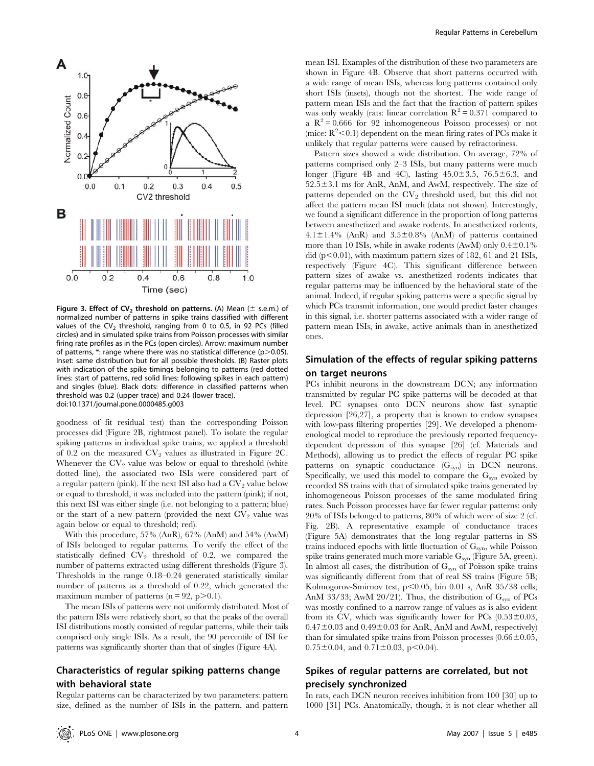

Figure 3. Effect of CV<sub>2</sub> threshold on patterns. (A) Mean ( $\pm$  s.e.m.) of normalized number of patterns in spike trains classified with different values of the CV<sub>2</sub> threshold, ranging from 0 to 0.5, in 92 PCs (filled circles) and in simulated spike trains from Poisson processes with similar firing rate profiles as in the PCs (open circles). Arrow: maximum number of patterns,  $*$ : range where there was no statistical difference (p $>$ 0.05). Inset: same distribution but for all possible thresholds. (B) Raster plots with indication of the spike timings belonging to patterns (red dotted lines: start of patterns, red solid lines: following spikes in each pattern) and singles (blue). Black dots: difference in classified patterns when threshold was 0.2 (upper trace) and 0.24 (lower trace). doi:10.1371/journal.pone.0000485.g003

goodness of fit residual test) than the corresponding Poisson processes did (Figure 2B, rightmost panel). To isolate the regular spiking patterns in individual spike trains, we applied a threshold of 0.2 on the measured  $CV_2$  values as illustrated in Figure 2C. Whenever the  $CV_2$  value was below or equal to threshold (white dotted line), the associated two ISIs were considered part of a regular pattern (pink). If the next ISI also had a  $CV_2$  value below or equal to threshold, it was included into the pattern (pink); if not, this next ISI was either single (i.e. not belonging to a pattern; blue) or the start of a new pattern (provided the next  $CV_2$  value was again below or equal to threshold; red).

With this procedure, 57% (AnR), 67% (AnM) and 54% (AwM) of ISIs belonged to regular patterns. To verify the effect of the statistically defined  $CV_2$  threshold of 0.2, we compared the number of patterns extracted using different thresholds (Figure 3). Thresholds in the range 0.18–0.24 generated statistically similar number of patterns as a threshold of 0.22, which generated the maximum number of patterns  $(n = 92, p > 0.1)$ .

The mean ISIs of patterns were not uniformly distributed. Most of the pattern ISIs were relatively short, so that the peaks of the overall ISI distributions mostly consisted of regular patterns, while their tails comprised only single ISIs. As a result, the 90 percentile of ISI for patterns was significantly shorter than that of singles (Figure 4A).

# Characteristics of regular spiking patterns change with behavioral state

Regular patterns can be characterized by two parameters: pattern size, defined as the number of ISIs in the pattern, and pattern

mean ISI. Examples of the distribution of these two parameters are shown in Figure 4B. Observe that short patterns occurred with a wide range of mean ISIs, whereas long patterns contained only short ISIs (insets), though not the shortest. The wide range of pattern mean ISIs and the fact that the fraction of pattern spikes was only weakly (rats: linear correlation  $R^2 = 0.371$  compared to a  $R^2 = 0.666$  for 92 inhomogeneous Poisson processes) or not (mice:  $R^2$  < 0.1) dependent on the mean firing rates of PCs make it unlikely that regular patterns were caused by refractoriness.

Pattern sizes showed a wide distribution. On average, 72% of patterns comprised only 2–3 ISIs, but many patterns were much longer (Figure 4B and 4C), lasting  $45.0 \pm 3.5$ ,  $76.5 \pm 6.3$ , and  $52.5\pm3.1$  ms for AnR, AnM, and AwM, respectively. The size of patterns depended on the  $CV_2$  threshold used, but this did not affect the pattern mean ISI much (data not shown). Interestingly, we found a significant difference in the proportion of long patterns between anesthetized and awake rodents. In anesthetized rodents,  $4.1\pm1.4\%$  (AnR) and  $3.5\pm0.8\%$  (AnM) of patterns contained more than 10 ISIs, while in awake rodents (AwM) only  $0.4\pm0.1\%$ did  $(p<0.01)$ , with maximum pattern sizes of 182, 61 and 21 ISIs, respectively (Figure 4C). This significant difference between pattern sizes of awake vs. anesthetized rodents indicates that regular patterns may be influenced by the behavioral state of the animal. Indeed, if regular spiking patterns were a specific signal by which PCs transmit information, one would predict faster changes in this signal, i.e. shorter patterns associated with a wider range of pattern mean ISIs, in awake, active animals than in anesthetized ones.

# Simulation of the effects of regular spiking patterns on target neurons

PCs inhibit neurons in the downstream DCN; any information transmitted by regular PC spike patterns will be decoded at that level. PC synapses onto DCN neurons show fast synaptic depression [26,27], a property that is known to endow synapses with low-pass filtering properties [29]. We developed a phenomenological model to reproduce the previously reported frequencydependent depression of this synapse [26] (cf. Materials and Methods), allowing us to predict the effects of regular PC spike patterns on synaptic conductance  $(G_{syn})$  in DCN neurons. Specifically, we used this model to compare the  $G_{syn}$  evoked by recorded SS trains with that of simulated spike trains generated by inhomogeneous Poisson processes of the same modulated firing rates. Such Poisson processes have far fewer regular patterns: only 20% of ISIs belonged to patterns, 80% of which were of size 2 (cf. Fig. 2B). A representative example of conductance traces (Figure 5A) demonstrates that the long regular patterns in SS trains induced epochs with little fluctuation of G<sub>syn</sub>, while Poisson spike trains generated much more variable  $G_{syn}$  (Figure 5A, green). In almost all cases, the distribution of  $G_{syn}$  of Poisson spike trains was significantly different from that of real SS trains (Figure 5B; Kolmogorov-Smirnov test,  $p<0.05$ , bin 0.01 s, AnR 35/38 cells; AnM 33/33; AwM 20/21). Thus, the distribution of  $G_{syn}$  of PCs was mostly confined to a narrow range of values as is also evident from its CV, which was significantly lower for PCs  $(0.53 \pm 0.03, 0.05)$  $0.47\pm0.03$  and  $0.49\pm0.03$  for AnR, AnM and AwM, respectively) than for simulated spike trains from Poisson processes  $(0.66 \pm 0.05,$  $0.75 \pm 0.04$ , and  $0.71 \pm 0.03$ , p $\leq 0.04$ ).

# Spikes of regular patterns are correlated, but not precisely synchronized

In rats, each DCN neuron receives inhibition from 100 [30] up to 1000 [31] PCs. Anatomically, though, it is not clear whether all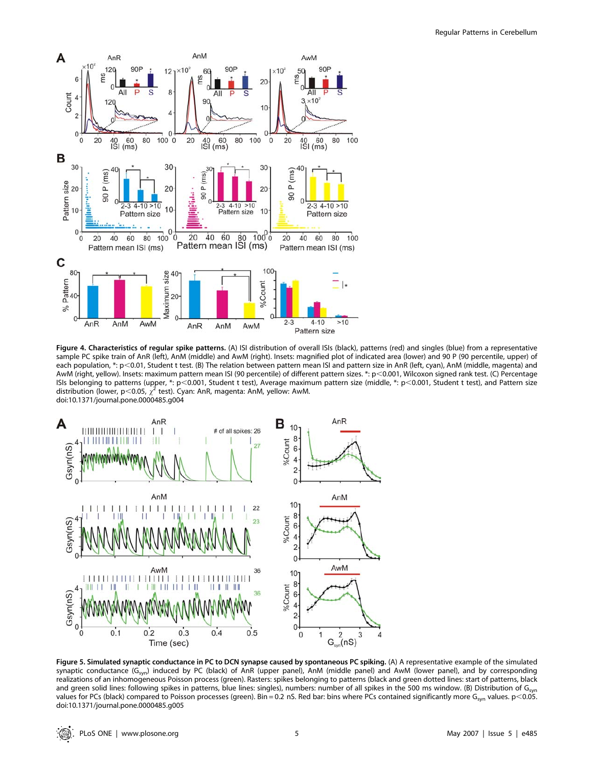

Figure 4. Characteristics of regular spike patterns. (A) ISI distribution of overall ISIs (black), patterns (red) and singles (blue) from a representative sample PC spike train of AnR (left), AnM (middle) and AwM (right). Insets: magnified plot of indicated area (lower) and 90 P (90 percentile, upper) of each population, \*: p<0.01, Student t test. (B) The relation between pattern mean ISI and pattern size in AnR (left, cyan), AnM (middle, magenta) and AwM (right, yellow). Insets: maximum pattern mean ISI (90 percentile) of different pattern sizes. \*: p<0.001, Wilcoxon signed rank test. (C) Percentage ISIs belonging to patterns (upper, \*: p<0.001, Student t test), Average maximum pattern size (middle, \*: p<0.001, Student t test), and Pattern size distribution (lower, p<0.05,  $\chi^2$  test). Cyan: AnR, magenta: AnM, yellow: AwM. doi:10.1371/journal.pone.0000485.g004



Figure 5. Simulated synaptic conductance in PC to DCN synapse caused by spontaneous PC spiking. (A) A representative example of the simulated synaptic conductance  $(G_{syn})$  induced by PC (black) of AnR (upper panel), AnM (middle panel) and AwM (lower panel), and by corresponding realizations of an inhomogeneous Poisson process (green). Rasters: spikes belonging to patterns (black and green dotted lines: start of patterns, black and green solid lines: following spikes in patterns, blue lines: singles), numbers: number of all spikes in the 500 ms window. (B) Distribution of G<sub>syn</sub> values for PCs (black) compared to Poisson processes (green). Bin = 0.2 nS. Red bar: bins where PCs contained significantly more G<sub>syn</sub> values. p<0.05. doi:10.1371/journal.pone.0000485.g005

: Q) PLoS ONE | www.plosone.org 5 May 2007 | Issue 5 | e485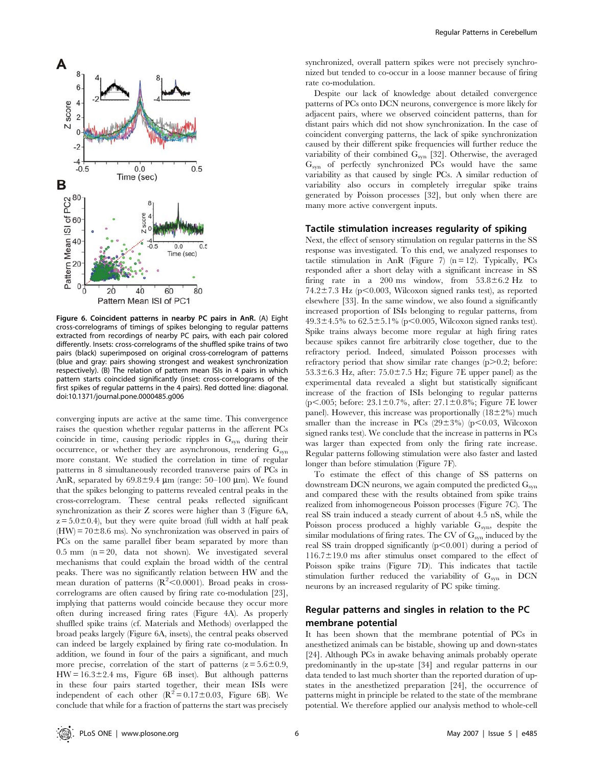

Figure 6. Coincident patterns in nearby PC pairs in AnR. (A) Eight cross-correlograms of timings of spikes belonging to regular patterns extracted from recordings of nearby PC pairs, with each pair colored differently. Insets: cross-correlograms of the shuffled spike trains of two pairs (black) superimposed on original cross-correlogram of patterns (blue and gray: pairs showing strongest and weakest synchronization respectively). (B) The relation of pattern mean ISIs in 4 pairs in which pattern starts coincided significantly (inset: cross-correlograms of the first spikes of regular patterns in the 4 pairs). Red dotted line: diagonal. doi:10.1371/journal.pone.0000485.g006

converging inputs are active at the same time. This convergence raises the question whether regular patterns in the afferent PCs coincide in time, causing periodic ripples in  $G<sub>syn</sub>$  during their occurrence, or whether they are asynchronous, rendering  $G_{syn}$ more constant. We studied the correlation in time of regular patterns in 8 simultaneously recorded transverse pairs of PCs in AnR, separated by  $69.8 \pm 9.4$  µm (range: 50–100 µm). We found that the spikes belonging to patterns revealed central peaks in the cross-correlogram. These central peaks reflected significant synchronization as their Z scores were higher than 3 (Figure 6A,  $z = 5.0 \pm 0.4$ ), but they were quite broad (full width at half peak  $(HW) = 70 \pm 8.6$  ms). No synchronization was observed in pairs of PCs on the same parallel fiber beam separated by more than  $0.5$  mm ( $n = 20$ , data not shown). We investigated several mechanisms that could explain the broad width of the central peaks. There was no significantly relation between HW and the mean duration of patterns  $(R^2<0.0001)$ . Broad peaks in crosscorrelograms are often caused by firing rate co-modulation [23], implying that patterns would coincide because they occur more often during increased firing rates (Figure 4A). As properly shuffled spike trains (cf. Materials and Methods) overlapped the broad peaks largely (Figure 6A, insets), the central peaks observed can indeed be largely explained by firing rate co-modulation. In addition, we found in four of the pairs a significant, and much more precise, correlation of the start of patterns  $(z = 5.6 \pm 0.9,$  $HW = 16.3 \pm 2.4$  ms, Figure 6B inset). But although patterns in these four pairs started together, their mean ISIs were independent of each other  $(R^2 = 0.17 \pm 0.03$ , Figure 6B). We conclude that while for a fraction of patterns the start was precisely

synchronized, overall pattern spikes were not precisely synchronized but tended to co-occur in a loose manner because of firing rate co-modulation.

Despite our lack of knowledge about detailed convergence patterns of PCs onto DCN neurons, convergence is more likely for adjacent pairs, where we observed coincident patterns, than for distant pairs which did not show synchronization. In the case of coincident converging patterns, the lack of spike synchronization caused by their different spike frequencies will further reduce the variability of their combined  $G_{syn}$  [32]. Otherwise, the averaged  $G<sub>syn</sub>$  of perfectly synchronized PCs would have the same variability as that caused by single PCs. A similar reduction of variability also occurs in completely irregular spike trains generated by Poisson processes [32], but only when there are many more active convergent inputs.

#### Tactile stimulation increases regularity of spiking

Next, the effect of sensory stimulation on regular patterns in the SS response was investigated. To this end, we analyzed responses to tactile stimulation in AnR (Figure 7)  $(n = 12)$ . Typically, PCs responded after a short delay with a significant increase in SS firing rate in a 200 ms window, from  $53.8 \pm 6.2$  Hz to 74.2 $\pm$ 7.3 Hz (p $\leq$ 0.003, Wilcoxon signed ranks test), as reported elsewhere [33]. In the same window, we also found a significantly increased proportion of ISIs belonging to regular patterns, from  $49.3 \pm 4.5\%$  to  $62.5 \pm 5.1\%$  (p $\leq 0.005$ , Wilcoxon signed ranks test). Spike trains always become more regular at high firing rates because spikes cannot fire arbitrarily close together, due to the refractory period. Indeed, simulated Poisson processes with refractory period that show similar rate changes  $(p>0.2;$  before:  $53.3\pm6.3$  Hz, after:  $75.0\pm7.5$  Hz; Figure 7E upper panel) as the experimental data revealed a slight but statistically significant increase of the fraction of ISIs belonging to regular patterns (p $\leq$ .005; before: 23.1 $\pm$ 0.7%, after: 27.1 $\pm$ 0.8%; Figure 7E lower panel). However, this increase was proportionally  $(18\pm2\%)$  much smaller than the increase in PCs  $(29\pm3\%)$  (p $\leq$ 0.03, Wilcoxon signed ranks test). We conclude that the increase in patterns in PCs was larger than expected from only the firing rate increase. Regular patterns following stimulation were also faster and lasted longer than before stimulation (Figure 7F).

To estimate the effect of this change of SS patterns on downstream DCN neurons, we again computed the predicted  $G_{syn}$ and compared these with the results obtained from spike trains realized from inhomogeneous Poisson processes (Figure 7C). The real SS train induced a steady current of about 4.5 nS, while the Poisson process produced a highly variable  $G_{syn}$ , despite the similar modulations of firing rates. The CV of  $G_{syn}$  induced by the real SS train dropped significantly  $(p<0.001)$  during a period of  $116.7 \pm 19.0$  ms after stimulus onset compared to the effect of Poisson spike trains (Figure 7D). This indicates that tactile stimulation further reduced the variability of  $G_{syn}$  in DCN neurons by an increased regularity of PC spike timing.

# Regular patterns and singles in relation to the PC membrane potential

It has been shown that the membrane potential of PCs in anesthetized animals can be bistable, showing up and down-states [24]. Although PCs in awake behaving animals probably operate predominantly in the up-state [34] and regular patterns in our data tended to last much shorter than the reported duration of upstates in the anesthetized preparation [24], the occurrence of patterns might in principle be related to the state of the membrane potential. We therefore applied our analysis method to whole-cell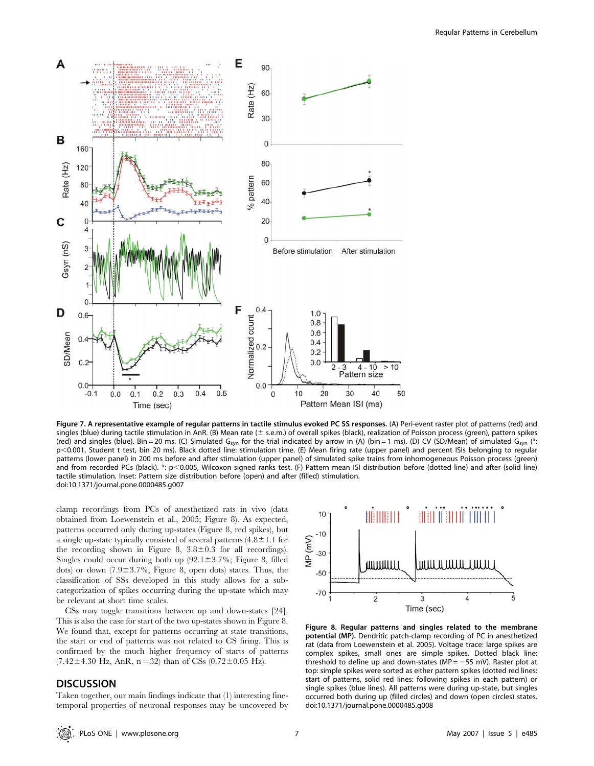

Figure 7. A representative example of regular patterns in tactile stimulus evoked PC SS responses. (A) Peri-event raster plot of patterns (red) and singles (blue) during tactile stimulation in AnR. (B) Mean rate ( $\pm$  s.e.m.) of overall spikes (black), realization of Poisson process (green), pattern spikes (red) and singles (blue). Bin = 20 ms. (C) Simulated G<sub>syn</sub> for the trial indicated by arrow in (A) (bin = 1 ms). (D) CV (SD/Mean) of simulated G<sub>syn</sub> (\*: p<0.001, Student t test, bin 20 ms). Black dotted line: stimulation time. (E) Mean firing rate (upper panel) and percent ISIs belonging to regular patterns (lower panel) in 200 ms before and after stimulation (upper panel) of simulated spike trains from inhomogeneous Poisson process (green) and from recorded PCs (black). \*: p<0.005, Wilcoxon signed ranks test. (F) Pattern mean ISI distribution before (dotted line) and after (solid line) tactile stimulation. Inset: Pattern size distribution before (open) and after (filled) stimulation. doi:10.1371/journal.pone.0000485.g007

clamp recordings from PCs of anesthetized rats in vivo (data obtained from Loewenstein et al., 2005; Figure 8). As expected, patterns occurred only during up-states (Figure 8, red spikes), but a single up-state typically consisted of several patterns  $(4.8 \pm 1.1$  for the recording shown in Figure 8,  $3.8 \pm 0.3$  for all recordings). Singles could occur during both up  $(92.1 \pm 3.7\%)$ ; Figure 8, filled dots) or down  $(7.9 \pm 3.7\%)$ , Figure 8, open dots) states. Thus, the classification of SSs developed in this study allows for a subcategorization of spikes occurring during the up-state which may be relevant at short time scales.

CSs may toggle transitions between up and down-states [24]. This is also the case for start of the two up-states shown in Figure 8. We found that, except for patterns occurring at state transitions, the start or end of patterns was not related to CS firing. This is confirmed by the much higher frequency of starts of patterns  $(7.42 \pm 4.30 \text{ Hz}, \text{AnR}, n = 32)$  than of CSs  $(0.72 \pm 0.05 \text{ Hz})$ .

### **DISCUSSION**

Taken together, our main findings indicate that (1) interesting finetemporal properties of neuronal responses may be uncovered by



Figure 8. Regular patterns and singles related to the membrane potential (MP). Dendritic patch-clamp recording of PC in anesthetized rat (data from Loewenstein et al. 2005). Voltage trace: large spikes are complex spikes, small ones are simple spikes. Dotted black line: threshold to define up and down-states ( $MP = -55$  mV). Raster plot at top: simple spikes were sorted as either pattern spikes (dotted red lines: start of patterns, solid red lines: following spikes in each pattern) or single spikes (blue lines). All patterns were during up-state, but singles occurred both during up (filled circles) and down (open circles) states. doi:10.1371/journal.pone.0000485.g008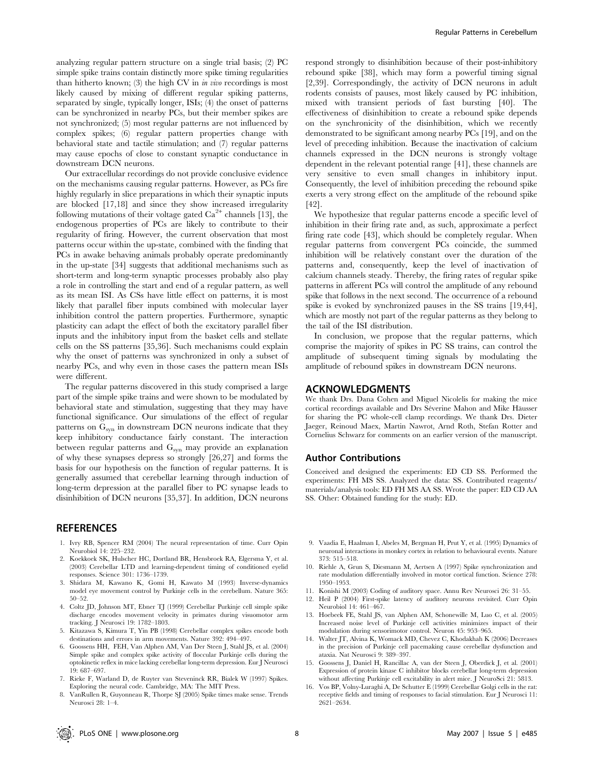analyzing regular pattern structure on a single trial basis; (2) PC simple spike trains contain distinctly more spike timing regularities than hitherto known; (3) the high CV in  $\dot{m}$  vivo recordings is most likely caused by mixing of different regular spiking patterns, separated by single, typically longer, ISIs; (4) the onset of patterns can be synchronized in nearby PCs, but their member spikes are not synchronized; (5) most regular patterns are not influenced by complex spikes; (6) regular pattern properties change with behavioral state and tactile stimulation; and (7) regular patterns may cause epochs of close to constant synaptic conductance in downstream DCN neurons.

Our extracellular recordings do not provide conclusive evidence on the mechanisms causing regular patterns. However, as PCs fire highly regularly in slice preparations in which their synaptic inputs are blocked [17,18] and since they show increased irregularity following mutations of their voltage gated  $Ca^{2+}$  channels [13], the endogenous properties of PCs are likely to contribute to their regularity of firing. However, the current observation that most patterns occur within the up-state, combined with the finding that PCs in awake behaving animals probably operate predominantly in the up-state [34] suggests that additional mechanisms such as short-term and long-term synaptic processes probably also play a role in controlling the start and end of a regular pattern, as well as its mean ISI. As CSs have little effect on patterns, it is most likely that parallel fiber inputs combined with molecular layer inhibition control the pattern properties. Furthermore, synaptic plasticity can adapt the effect of both the excitatory parallel fiber inputs and the inhibitory input from the basket cells and stellate cells on the SS patterns [35,36]. Such mechanisms could explain why the onset of patterns was synchronized in only a subset of nearby PCs, and why even in those cases the pattern mean ISIs were different.

The regular patterns discovered in this study comprised a large part of the simple spike trains and were shown to be modulated by behavioral state and stimulation, suggesting that they may have functional significance. Our simulations of the effect of regular patterns on  $G_{syn}$  in downstream DCN neurons indicate that they keep inhibitory conductance fairly constant. The interaction between regular patterns and G<sub>syn</sub> may provide an explanation of why these synapses depress so strongly [26,27] and forms the basis for our hypothesis on the function of regular patterns. It is generally assumed that cerebellar learning through induction of long-term depression at the parallel fiber to PC synapse leads to disinhibition of DCN neurons [35,37]. In addition, DCN neurons

### **REFERENCES**

- 1. Ivry RB, Spencer RM (2004) The neural representation of time. Curr Opin Neurobiol 14: 225–232.
- 2. Koekkoek SK, Hulscher HC, Dortland BR, Hensbroek RA, Elgersma Y, et al. (2003) Cerebellar LTD and learning-dependent timing of conditioned eyelid responses. Science 301: 1736–1739.
- 3. Shidara M, Kawano K, Gomi H, Kawato M (1993) Inverse-dynamics model eye movement control by Purkinje cells in the cerebellum. Nature 365: 50–52.
- 4. Coltz JD, Johnson MT, Ebner TJ (1999) Cerebellar Purkinje cell simple spike discharge encodes movement velocity in primates during visuomotor arm tracking. J Neurosci 19: 1782–1803.
- 5. Kitazawa S, Kimura T, Yin PB (1998) Cerebellar complex spikes encode both destinations and errors in arm movements. Nature 392: 494–497.
- 6. Goossens HH, FEH, Van Alphen AM, Van Der Steen J, Stahl JS, et al. (2004) Simple spike and complex spike activity of floccular Purkinje cells during the optokinetic reflex in mice lacking cerebellar long-term depression. Eur J Neurosci 19: 687–697.
- 7. Rieke F, Warland D, de Ruyter van Steveninck RR, Bialek W (1997) Spikes. Exploring the neural code. Cambridge, MA: The MIT Press. 8. VanRullen R, Guyonneau R, Thorpe SJ (2005) Spike times make sense. Trends

dependent in the relevant potential range [41], these channels are very sensitive to even small changes in inhibitory input.

[42]. We hypothesize that regular patterns encode a specific level of inhibition in their firing rate and, as such, approximate a perfect firing rate code [43], which should be completely regular. When regular patterns from convergent PCs coincide, the summed inhibition will be relatively constant over the duration of the patterns and, consequently, keep the level of inactivation of calcium channels steady. Thereby, the firing rates of regular spike patterns in afferent PCs will control the amplitude of any rebound spike that follows in the next second. The occurrence of a rebound spike is evoked by synchronized pauses in the SS trains [19,44], which are mostly not part of the regular patterns as they belong to the tail of the ISI distribution.

Consequently, the level of inhibition preceding the rebound spike exerts a very strong effect on the amplitude of the rebound spike

respond strongly to disinhibition because of their post-inhibitory rebound spike [38], which may form a powerful timing signal [2,39]. Correspondingly, the activity of DCN neurons in adult rodents consists of pauses, most likely caused by PC inhibition, mixed with transient periods of fast bursting [40]. The effectiveness of disinhibition to create a rebound spike depends on the synchronicity of the disinhibition, which we recently demonstrated to be significant among nearby PCs [19], and on the level of preceding inhibition. Because the inactivation of calcium channels expressed in the DCN neurons is strongly voltage

In conclusion, we propose that the regular patterns, which comprise the majority of spikes in PC SS trains, can control the amplitude of subsequent timing signals by modulating the amplitude of rebound spikes in downstream DCN neurons.

### ACKNOWLEDGMENTS

We thank Drs. Dana Cohen and Miguel Nicolelis for making the mice cortical recordings available and Drs Séverine Mahon and Mike Häusser for sharing the PC whole-cell clamp recordings. We thank Drs. Dieter Jaeger, Reinoud Maex, Martin Nawrot, Arnd Roth, Stefan Rotter and Cornelius Schwarz for comments on an earlier version of the manuscript.

#### Author Contributions

Conceived and designed the experiments: ED CD SS. Performed the experiments: FH MS SS. Analyzed the data: SS. Contributed reagents/ materials/analysis tools: ED FH MS AA SS. Wrote the paper: ED CD AA SS. Other: Obtained funding for the study: ED.

- 9. Vaadia E, Haalman I, Abeles M, Bergman H, Prut Y, et al. (1995) Dynamics of neuronal interactions in monkey cortex in relation to behavioural events. Nature 373: 515–518.
- 10. Riehle A, Grun S, Diesmann M, Aertsen A (1997) Spike synchronization and rate modulation differentially involved in motor cortical function. Science 278: 1950–1953.
- 11. Konishi M (2003) Coding of auditory space. Annu Rev Neurosci 26: 31–55.
- 12. Heil P (2004) First-spike latency of auditory neurons revisited. Curr Opin Neurobiol 14: 461–467.
- 13. Hoebeek FE, Stahl JS, van Alphen AM, Schonewille M, Luo C, et al. (2005) Increased noise level of Purkinje cell activities minimizes impact of their modulation during sensorimotor control. Neuron 45: 953–965.
- 14. Walter JT, Alvina K, Womack MD, Chevez C, Khodakhah K (2006) Decreases in the precision of Purkinje cell pacemaking cause cerebellar dysfunction and ataxia. Nat Neurosci 9: 389–397.
- 15. Goossens J, Daniel H, Rancillac A, van der Steen J, Oberdick J, et al. (2001) Expression of protein kinase C inhibitor blocks cerebellar long-term depression without affecting Purkinje cell excitability in alert mice. J NeuroSci 21: 5813.
- 16. Vos BP, Volny-Luraghi A, De Schutter E (1999) Cerebellar Golgi cells in the rat: receptive fields and timing of responses to facial stimulation. Eur J Neurosci 11: 2621–2634.
- 
- 

Neurosci 28: 1–4.